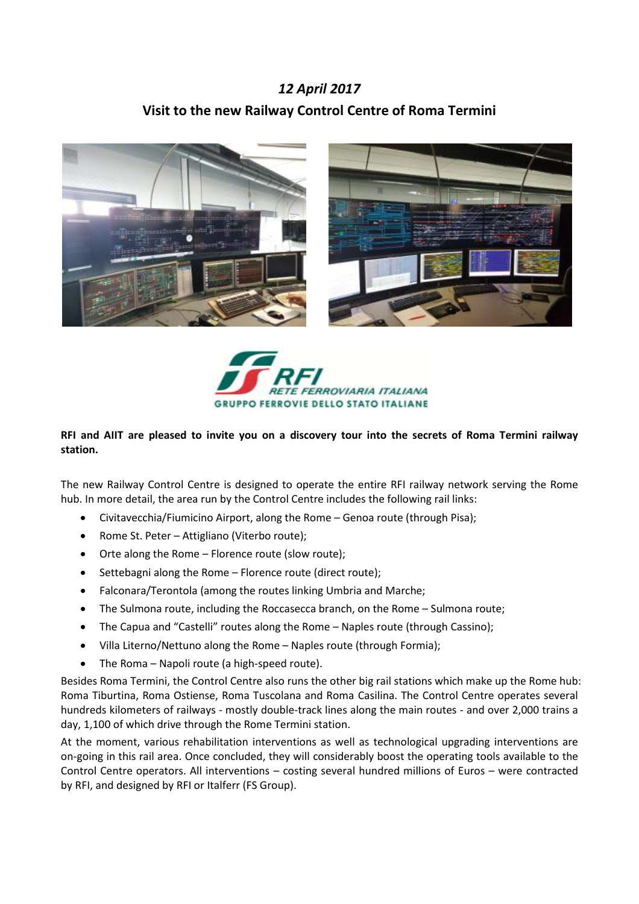## *12 April 2017* **Visit to the new Railway Control Centre of Roma Termini**





## **RFI and AIIT are pleased to invite you on a discovery tour into the secrets of Roma Termini railway station.**

The new Railway Control Centre is designed to operate the entire RFI railway network serving the Rome hub. In more detail, the area run by the Control Centre includes the following rail links:

- Civitavecchia/Fiumicino Airport, along the Rome Genoa route (through Pisa);
- Rome St. Peter Attigliano (Viterbo route);
- Orte along the Rome Florence route (slow route);
- Settebagni along the Rome Florence route (direct route);
- Falconara/Terontola (among the routes linking Umbria and Marche;
- The Sulmona route, including the Roccasecca branch, on the Rome Sulmona route;
- The Capua and "Castelli" routes along the Rome Naples route (through Cassino);
- Villa Literno/Nettuno along the Rome Naples route (through Formia);
- The Roma Napoli route (a high-speed route).

Besides Roma Termini, the Control Centre also runs the other big rail stations which make up the Rome hub: Roma Tiburtina, Roma Ostiense, Roma Tuscolana and Roma Casilina. The Control Centre operates several hundreds kilometers of railways - mostly double-track lines along the main routes - and over 2,000 trains a day, 1,100 of which drive through the Rome Termini station.

At the moment, various rehabilitation interventions as well as technological upgrading interventions are on-going in this rail area. Once concluded, they will considerably boost the operating tools available to the Control Centre operators. All interventions – costing several hundred millions of Euros – were contracted by RFI, and designed by RFI or Italferr (FS Group).